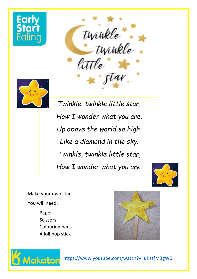

twinkle. little



*Twinkle, twinkle little star, How I wonder what you are. Up above the world so high, Like a diamond in the sky. Twinkle, twinkle little star, How I wonder what you are.*



Make your own star

You will need:

- Paper
- **Scissors**

**Aakaton** 

- Colouring pens
- A lollipop stick



<https://www.youtube.com/watch?v=uKszfM3gW0>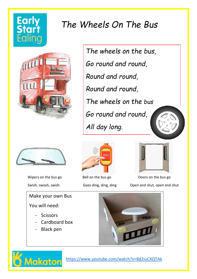# **Early**

#### *The Wheels On The Bus*



*The wheels on the bus, Go round and round, Round and round, Round and round, The wheels on the bus Go round and round, All day long.*



Make your own Bus You will need:

- **Scissors**
- Cardboard box
- **Black pen**





Wipers on the bus go Bell on the bus go Doors on the bus go Bell on the bus go Doors on the bus go Swish, swosh, swish Goes ding, ding, ding Open and shut, open and shut





<https://www.youtube.com/watch?v=8d2iuCXQTAk>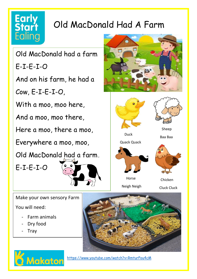### Early<br>Start Ealing

### Old MacDonald Had A Farm

Old MacDonald had a farm

E-I-E-I-O

And on his farm, he had a

Cow, E-I-E-I-O,

With a moo, moo here,

And a moo, moo there,

Here a moo, there a moo,

Everywhere a moo, moo,

Old MacDonald had a farm,







Make your own sensory Farm

You will need:

Farm animals

Makaton

- Dry food
- **Tray**



<https://www.youtube.com/watch?v=RmturPou4cM>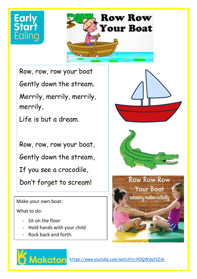



Row, row, row your boat Gently down the stream.

Merrily, merrily, merrily, merrily,

Life is but a dream.

Row, row, row your boat,

Gently down the stream,

If you see a crocodile,

Don't forget to scream!

Make your own boat:

What to do:

- Sit on the floor
- Hold hands with your child
- Rock back and forth.